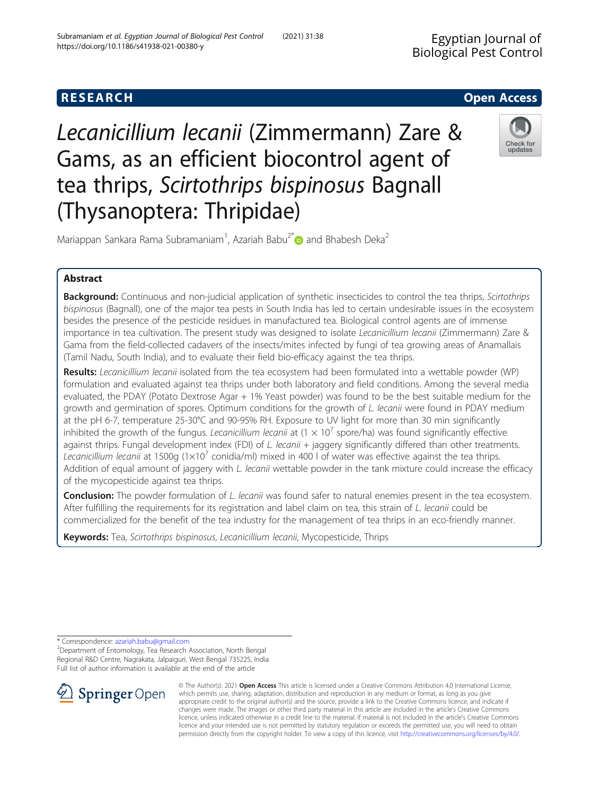# **RESEARCH CHE Open Access**

Lecanicillium lecanii (Zimmermann) Zare & Gams, as an efficient biocontrol agent of tea thrips, Scirtothrips bispinosus Bagnall (Thysanoptera: Thripidae)



Mariappan Sankara Rama Subramaniam<sup>1</sup>, Azariah Babu<sup>2\*</sup> and Bhabesh Deka<sup>2</sup>

# Abstract

Background: Continuous and non-judicial application of synthetic insecticides to control the tea thrips, Scirtothrips bispinosus (Bagnall), one of the major tea pests in South India has led to certain undesirable issues in the ecosystem besides the presence of the pesticide residues in manufactured tea. Biological control agents are of immense importance in tea cultivation. The present study was designed to isolate Lecanicillium lecanii (Zimmermann) Zare & Gama from the field-collected cadavers of the insects/mites infected by fungi of tea growing areas of Anamallais (Tamil Nadu, South India), and to evaluate their field bio-efficacy against the tea thrips.

Results: Lecanicillium lecanii isolated from the tea ecosystem had been formulated into a wettable powder (WP) formulation and evaluated against tea thrips under both laboratory and field conditions. Among the several media evaluated, the PDAY (Potato Dextrose Agar + 1% Yeast powder) was found to be the best suitable medium for the growth and germination of spores. Optimum conditions for the growth of L. lecanii were found in PDAY medium at the pH 6-7, temperature 25-30°C and 90-95% RH. Exposure to UV light for more than 30 min significantly inhibited the growth of the fungus. Lecanicillium lecanii at  $(1 \times 10^7$  spore/ha) was found significantly effective against thrips. Fungal development index (FDI) of  $L$ . lecanii  $+$  jaggery significantly differed than other treatments. Lecanicillium lecanii at 1500g ( $1\times10^{7}$  conidia/ml) mixed in 400 l of water was effective against the tea thrips. Addition of equal amount of jaggery with L. lecanii wettable powder in the tank mixture could increase the efficacy of the mycopesticide against tea thrips.

**Conclusion:** The powder formulation of L. lecanii was found safer to natural enemies present in the tea ecosystem. After fulfilling the requirements for its registration and label claim on tea, this strain of L. lecanii could be commercialized for the benefit of the tea industry for the management of tea thrips in an eco-friendly manner.

Keywords: Tea, Scirtothrips bispinosus, Lecanicillium lecanii, Mycopesticide, Thrips

\* Correspondence: [azariah.babu@gmail.com](mailto:azariah.babu@gmail.com) <sup>2</sup>

Department of Entomology, Tea Research Association, North Bengal Regional R&D Centre, Nagrakata, Jalpaiguri, West Bengal 735225, India Full list of author information is available at the end of the article



© The Author(s). 2021 Open Access This article is licensed under a Creative Commons Attribution 4.0 International License, which permits use, sharing, adaptation, distribution and reproduction in any medium or format, as long as you give appropriate credit to the original author(s) and the source, provide a link to the Creative Commons licence, and indicate if changes were made. The images or other third party material in this article are included in the article's Creative Commons licence, unless indicated otherwise in a credit line to the material. If material is not included in the article's Creative Commons licence and your intended use is not permitted by statutory regulation or exceeds the permitted use, you will need to obtain permission directly from the copyright holder. To view a copy of this licence, visit <http://creativecommons.org/licenses/by/4.0/>.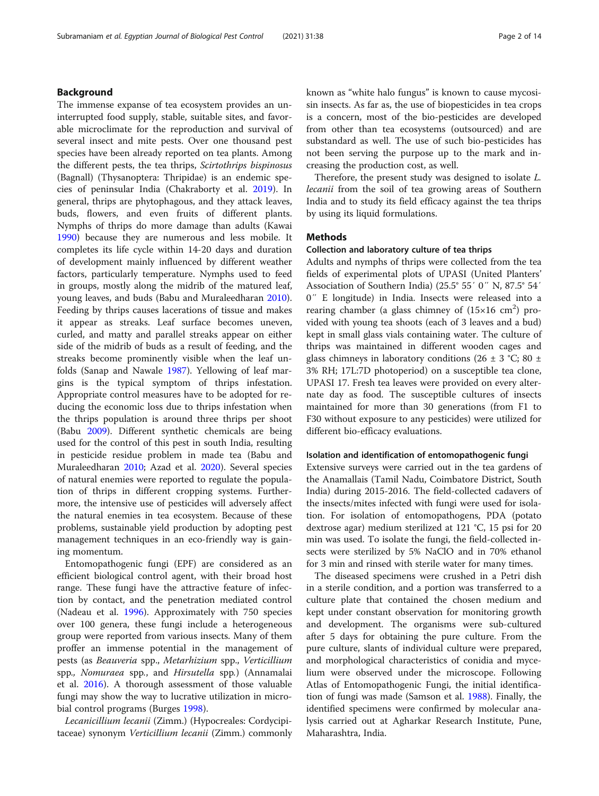# Background

The immense expanse of tea ecosystem provides an uninterrupted food supply, stable, suitable sites, and favorable microclimate for the reproduction and survival of several insect and mite pests. Over one thousand pest species have been already reported on tea plants. Among the different pests, the tea thrips, Scirtothrips bispinosus (Bagnall) (Thysanoptera: Thripidae) is an endemic species of peninsular India (Chakraborty et al. [2019](#page-12-0)). In general, thrips are phytophagous, and they attack leaves, buds, flowers, and even fruits of different plants. Nymphs of thrips do more damage than adults (Kawai [1990](#page-12-0)) because they are numerous and less mobile. It completes its life cycle within 14-20 days and duration of development mainly influenced by different weather factors, particularly temperature. Nymphs used to feed in groups, mostly along the midrib of the matured leaf, young leaves, and buds (Babu and Muraleedharan [2010](#page-12-0)). Feeding by thrips causes lacerations of tissue and makes it appear as streaks. Leaf surface becomes uneven, curled, and matty and parallel streaks appear on either side of the midrib of buds as a result of feeding, and the streaks become prominently visible when the leaf unfolds (Sanap and Nawale [1987\)](#page-13-0). Yellowing of leaf margins is the typical symptom of thrips infestation. Appropriate control measures have to be adopted for reducing the economic loss due to thrips infestation when the thrips population is around three thrips per shoot (Babu [2009](#page-12-0)). Different synthetic chemicals are being used for the control of this pest in south India, resulting in pesticide residue problem in made tea (Babu and Muraleedharan [2010;](#page-12-0) Azad et al. [2020](#page-12-0)). Several species of natural enemies were reported to regulate the population of thrips in different cropping systems. Furthermore, the intensive use of pesticides will adversely affect the natural enemies in tea ecosystem. Because of these problems, sustainable yield production by adopting pest management techniques in an eco-friendly way is gaining momentum.

Entomopathogenic fungi (EPF) are considered as an efficient biological control agent, with their broad host range. These fungi have the attractive feature of infection by contact, and the penetration mediated control (Nadeau et al. [1996\)](#page-12-0). Approximately with 750 species over 100 genera, these fungi include a heterogeneous group were reported from various insects. Many of them proffer an immense potential in the management of pests (as Beauveria spp., Metarhizium spp., Verticillium spp., Nomuraea spp., and Hirsutella spp.) (Annamalai et al. [2016\)](#page-12-0). A thorough assessment of those valuable fungi may show the way to lucrative utilization in microbial control programs (Burges [1998\)](#page-12-0).

Lecanicillium lecanii (Zimm.) (Hypocreales: Cordycipitaceae) synonym Verticillium lecanii (Zimm.) commonly known as "white halo fungus" is known to cause mycosisin insects. As far as, the use of biopesticides in tea crops is a concern, most of the bio-pesticides are developed from other than tea ecosystems (outsourced) and are substandard as well. The use of such bio-pesticides has not been serving the purpose up to the mark and increasing the production cost, as well.

Therefore, the present study was designed to isolate L. lecanii from the soil of tea growing areas of Southern India and to study its field efficacy against the tea thrips by using its liquid formulations.

### Methods

### Collection and laboratory culture of tea thrips

Adults and nymphs of thrips were collected from the tea fields of experimental plots of UPASI (United Planters' Association of Southern India) (25.5° 55′ 0″ N, 87.5° 54′ 0″ E longitude) in India. Insects were released into a rearing chamber (a glass chimney of  $(15\times16 \text{ cm}^2)$  provided with young tea shoots (each of 3 leaves and a bud) kept in small glass vials containing water. The culture of thrips was maintained in different wooden cages and glass chimneys in laboratory conditions (26  $\pm$  3 °C; 80  $\pm$ 3% RH; 17L:7D photoperiod) on a susceptible tea clone, UPASI 17. Fresh tea leaves were provided on every alternate day as food. The susceptible cultures of insects maintained for more than 30 generations (from F1 to F30 without exposure to any pesticides) were utilized for different bio-efficacy evaluations.

### Isolation and identification of entomopathogenic fungi

Extensive surveys were carried out in the tea gardens of the Anamallais (Tamil Nadu, Coimbatore District, South India) during 2015-2016. The field-collected cadavers of the insects/mites infected with fungi were used for isolation. For isolation of entomopathogens, PDA (potato dextrose agar) medium sterilized at 121 °C, 15 psi for 20 min was used. To isolate the fungi, the field-collected insects were sterilized by 5% NaClO and in 70% ethanol for 3 min and rinsed with sterile water for many times.

The diseased specimens were crushed in a Petri dish in a sterile condition, and a portion was transferred to a culture plate that contained the chosen medium and kept under constant observation for monitoring growth and development. The organisms were sub-cultured after 5 days for obtaining the pure culture. From the pure culture, slants of individual culture were prepared, and morphological characteristics of conidia and mycelium were observed under the microscope. Following Atlas of Entomopathogenic Fungi, the initial identification of fungi was made (Samson et al. [1988\)](#page-13-0). Finally, the identified specimens were confirmed by molecular analysis carried out at Agharkar Research Institute, Pune, Maharashtra, India.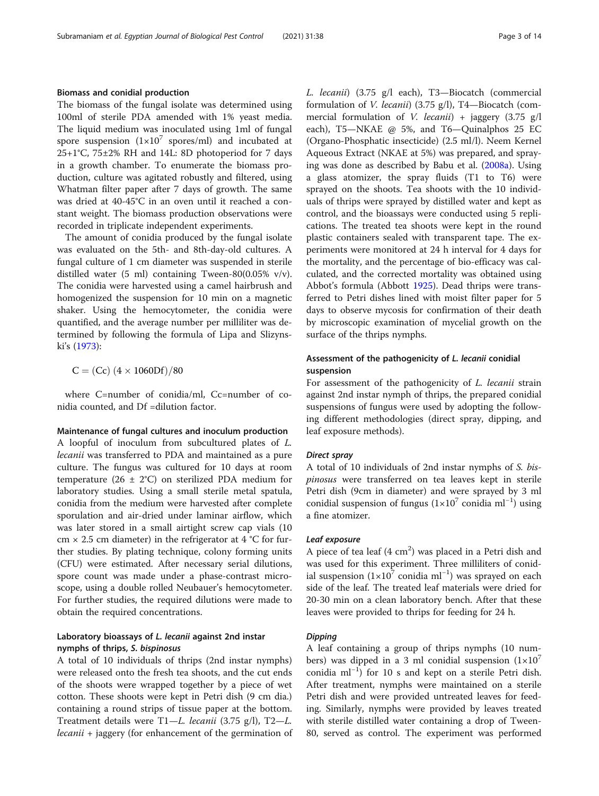# Biomass and conidial production

The biomass of the fungal isolate was determined using 100ml of sterile PDA amended with 1% yeast media. The liquid medium was inoculated using 1ml of fungal spore suspension  $(1\times10^7$  spores/ml) and incubated at 25+1°C, 75±2% RH and 14L: 8D photoperiod for 7 days in a growth chamber. To enumerate the biomass production, culture was agitated robustly and filtered, using Whatman filter paper after 7 days of growth. The same was dried at 40-45°C in an oven until it reached a constant weight. The biomass production observations were recorded in triplicate independent experiments.

The amount of conidia produced by the fungal isolate was evaluated on the 5th- and 8th-day-old cultures. A fungal culture of 1 cm diameter was suspended in sterile distilled water (5 ml) containing Tween-80(0.05% v/v). The conidia were harvested using a camel hairbrush and homogenized the suspension for 10 min on a magnetic shaker. Using the hemocytometer, the conidia were quantified, and the average number per milliliter was determined by following the formula of Lipa and Slizynski's [\(1973\)](#page-12-0):

 $C = (Cc) (4 \times 1060Df)/80$ 

where C=number of conidia/ml, Cc=number of conidia counted, and Df =dilution factor.

Maintenance of fungal cultures and inoculum production A loopful of inoculum from subcultured plates of L. lecanii was transferred to PDA and maintained as a pure culture. The fungus was cultured for 10 days at room temperature (26  $\pm$  2°C) on sterilized PDA medium for laboratory studies. Using a small sterile metal spatula, conidia from the medium were harvested after complete sporulation and air-dried under laminar airflow, which was later stored in a small airtight screw cap vials (10 cm  $\times$  2.5 cm diameter) in the refrigerator at 4 °C for further studies. By plating technique, colony forming units (CFU) were estimated. After necessary serial dilutions, spore count was made under a phase-contrast microscope, using a double rolled Neubauer's hemocytometer. For further studies, the required dilutions were made to obtain the required concentrations.

# Laboratory bioassays of L. lecanii against 2nd instar nymphs of thrips, S. bispinosus

A total of 10 individuals of thrips (2nd instar nymphs) were released onto the fresh tea shoots, and the cut ends of the shoots were wrapped together by a piece of wet cotton. These shoots were kept in Petri dish (9 cm dia.) containing a round strips of tissue paper at the bottom. Treatment details were T1—L. lecanii (3.75 g/l), T2—L. lecanii + jaggery (for enhancement of the germination of L. lecanii) (3.75 g/l each), T3—Biocatch (commercial formulation of V. lecanii) (3.75 g/l), T4—Biocatch (commercial formulation of *V. lecanii*) + jaggery  $(3.75 \text{ g/l})$ each), T5—NKAE @ 5%, and T6—Quinalphos 25 EC (Organo-Phosphatic insecticide) (2.5 ml/l). Neem Kernel Aqueous Extract (NKAE at 5%) was prepared, and spraying was done as described by Babu et al. ([2008a](#page-12-0)). Using a glass atomizer, the spray fluids (T1 to T6) were sprayed on the shoots. Tea shoots with the 10 individuals of thrips were sprayed by distilled water and kept as control, and the bioassays were conducted using 5 replications. The treated tea shoots were kept in the round plastic containers sealed with transparent tape. The experiments were monitored at 24 h interval for 4 days for the mortality, and the percentage of bio-efficacy was calculated, and the corrected mortality was obtained using Abbot's formula (Abbott [1925](#page-12-0)). Dead thrips were transferred to Petri dishes lined with moist filter paper for 5 days to observe mycosis for confirmation of their death by microscopic examination of mycelial growth on the surface of the thrips nymphs.

# Assessment of the pathogenicity of L. lecanii conidial suspension

For assessment of the pathogenicity of *L. lecanii* strain against 2nd instar nymph of thrips, the prepared conidial suspensions of fungus were used by adopting the following different methodologies (direct spray, dipping, and leaf exposure methods).

A total of 10 individuals of 2nd instar nymphs of S. bispinosus were transferred on tea leaves kept in sterile Petri dish (9cm in diameter) and were sprayed by 3 ml conidial suspension of fungus (1×10<sup>7</sup> conidia ml<sup>-1</sup>) using a fine atomizer.

A piece of tea leaf (4 cm<sup>2</sup>) was placed in a Petri dish and was used for this experiment. Three milliliters of conidial suspension (1×10<sup>7</sup> conidia ml<sup>-1</sup>) was sprayed on each side of the leaf. The treated leaf materials were dried for 20-30 min on a clean laboratory bench. After that these leaves were provided to thrips for feeding for 24 h.

A leaf containing a group of thrips nymphs (10 numbers) was dipped in a 3 ml conidial suspension  $(1\times10^{7})$ conidia ml−<sup>1</sup> ) for 10 s and kept on a sterile Petri dish. After treatment, nymphs were maintained on a sterile Petri dish and were provided untreated leaves for feeding. Similarly, nymphs were provided by leaves treated with sterile distilled water containing a drop of Tween-80, served as control. The experiment was performed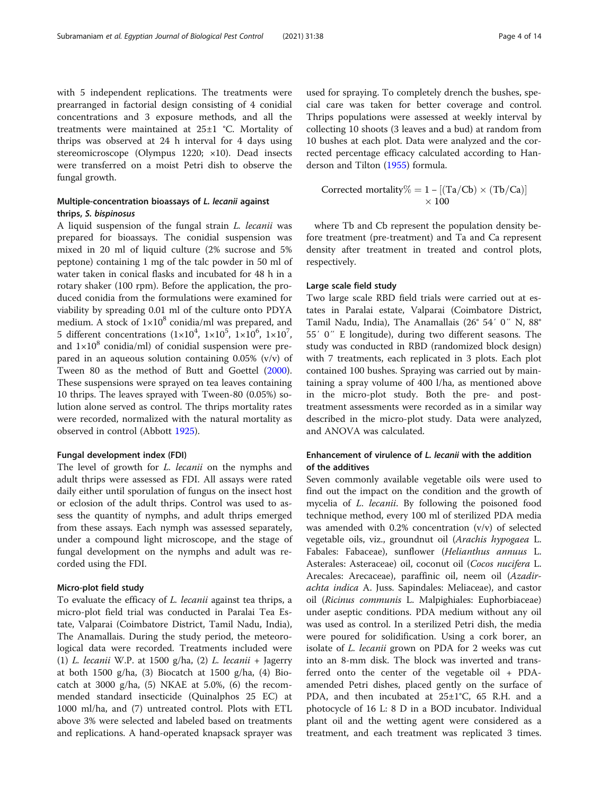with 5 independent replications. The treatments were prearranged in factorial design consisting of 4 conidial concentrations and 3 exposure methods, and all the treatments were maintained at 25±1 °C. Mortality of thrips was observed at 24 h interval for 4 days using stereomicroscope (Olympus 1220; ×10). Dead insects were transferred on a moist Petri dish to observe the fungal growth.

# Multiple-concentration bioassays of L. lecanii against thrips, S. bispinosus

A liquid suspension of the fungal strain L. lecanii was prepared for bioassays. The conidial suspension was mixed in 20 ml of liquid culture (2% sucrose and 5% peptone) containing 1 mg of the talc powder in 50 ml of water taken in conical flasks and incubated for 48 h in a rotary shaker (100 rpm). Before the application, the produced conidia from the formulations were examined for viability by spreading 0.01 ml of the culture onto PDYA medium. A stock of  $1\times10^8$  conidia/ml was prepared, and 5 different concentrations  $(1 \times 10^4, 1 \times 10^5, 1 \times 10^6, 1 \times 10^7,$ and  $1\times10^8$  conidia/ml) of conidial suspension were prepared in an aqueous solution containing  $0.05\%$  (v/v) of Tween 80 as the method of Butt and Goettel ([2000](#page-12-0)). These suspensions were sprayed on tea leaves containing 10 thrips. The leaves sprayed with Tween-80 (0.05%) solution alone served as control. The thrips mortality rates were recorded, normalized with the natural mortality as observed in control (Abbott [1925](#page-12-0)).

#### Fungal development index (FDI)

The level of growth for *L. lecanii* on the nymphs and adult thrips were assessed as FDI. All assays were rated daily either until sporulation of fungus on the insect host or eclosion of the adult thrips. Control was used to assess the quantity of nymphs, and adult thrips emerged from these assays. Each nymph was assessed separately, under a compound light microscope, and the stage of fungal development on the nymphs and adult was recorded using the FDI.

### Micro-plot field study

To evaluate the efficacy of L. lecanii against tea thrips, a micro-plot field trial was conducted in Paralai Tea Estate, Valparai (Coimbatore District, Tamil Nadu, India), The Anamallais. During the study period, the meteorological data were recorded. Treatments included were (1) L. lecanii W.P. at 1500 g/ha,  $(2)$  L. lecanii + Jagerry at both 1500 g/ha, (3) Biocatch at 1500 g/ha, (4) Biocatch at 3000 g/ha, (5) NKAE at 5.0%, (6) the recommended standard insecticide (Quinalphos 25 EC) at 1000 ml/ha, and (7) untreated control. Plots with ETL above 3% were selected and labeled based on treatments and replications. A hand-operated knapsack sprayer was used for spraying. To completely drench the bushes, special care was taken for better coverage and control. Thrips populations were assessed at weekly interval by collecting 10 shoots (3 leaves and a bud) at random from 10 bushes at each plot. Data were analyzed and the corrected percentage efficacy calculated according to Handerson and Tilton ([1955](#page-12-0)) formula.

$$
Corrected\ mortality \% = 1 - [(Ta/Cb) \times (Tb/Ca)]
$$
  
 
$$
\times 100
$$

where Tb and Cb represent the population density before treatment (pre-treatment) and Ta and Ca represent density after treatment in treated and control plots, respectively.

### Large scale field study

Two large scale RBD field trials were carried out at estates in Paralai estate, Valparai (Coimbatore District, Tamil Nadu, India), The Anamallais (26° 54′ 0″ N, 88° 55′ 0″ E longitude), during two different seasons. The study was conducted in RBD (randomized block design) with 7 treatments, each replicated in 3 plots. Each plot contained 100 bushes. Spraying was carried out by maintaining a spray volume of 400 l/ha, as mentioned above in the micro-plot study. Both the pre- and posttreatment assessments were recorded as in a similar way described in the micro-plot study. Data were analyzed, and ANOVA was calculated.

# Enhancement of virulence of L. lecanii with the addition of the additives

Seven commonly available vegetable oils were used to find out the impact on the condition and the growth of mycelia of L. lecanii. By following the poisoned food technique method, every 100 ml of sterilized PDA media was amended with 0.2% concentration (v/v) of selected vegetable oils, viz., groundnut oil (Arachis hypogaea L. Fabales: Fabaceae), sunflower (Helianthus annuus L. Asterales: Asteraceae) oil, coconut oil (Cocos nucifera L. Arecales: Arecaceae), paraffinic oil, neem oil (Azadirachta indica A. Juss. Sapindales: Meliaceae), and castor oil (Ricinus communis L. Malpighiales: Euphorbiaceae) under aseptic conditions. PDA medium without any oil was used as control. In a sterilized Petri dish, the media were poured for solidification. Using a cork borer, an isolate of L. lecanii grown on PDA for 2 weeks was cut into an 8-mm disk. The block was inverted and transferred onto the center of the vegetable oil + PDAamended Petri dishes, placed gently on the surface of PDA, and then incubated at  $25\pm1^{\circ}C$ , 65 R.H. and a photocycle of 16 L: 8 D in a BOD incubator. Individual plant oil and the wetting agent were considered as a treatment, and each treatment was replicated 3 times.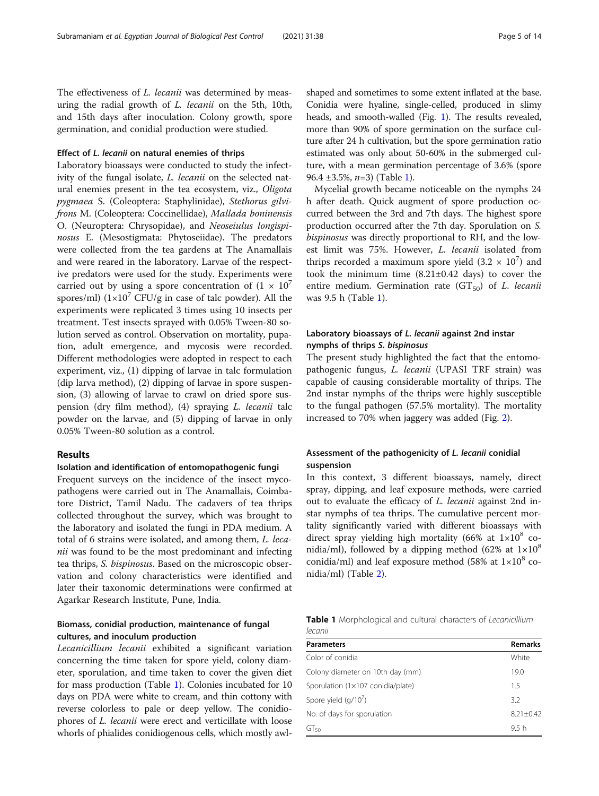The effectiveness of *L. lecanii* was determined by measuring the radial growth of L. lecanii on the 5th, 10th, and 15th days after inoculation. Colony growth, spore germination, and conidial production were studied.

### Effect of L. lecanii on natural enemies of thrips

Laboratory bioassays were conducted to study the infectivity of the fungal isolate, *L. lecanii* on the selected natural enemies present in the tea ecosystem, viz., Oligota pygmaea S. (Coleoptera: Staphylinidae), Stethorus gilvifrons M. (Coleoptera: Coccinellidae), Mallada boninensis O. (Neuroptera: Chrysopidae), and Neoseiulus longispinosus E. (Mesostigmata: Phytoseiidae). The predators were collected from the tea gardens at The Anamallais and were reared in the laboratory. Larvae of the respective predators were used for the study. Experiments were carried out by using a spore concentration of  $(1 \times 10^7)$ spores/ml)  $(1 \times 10^7 \text{ CFU/g}$  in case of talc powder). All the experiments were replicated 3 times using 10 insects per treatment. Test insects sprayed with 0.05% Tween-80 solution served as control. Observation on mortality, pupation, adult emergence, and mycosis were recorded. Different methodologies were adopted in respect to each experiment, viz., (1) dipping of larvae in talc formulation (dip larva method), (2) dipping of larvae in spore suspension, (3) allowing of larvae to crawl on dried spore suspension (dry film method), (4) spraying L. lecanii talc powder on the larvae, and (5) dipping of larvae in only 0.05% Tween-80 solution as a control.

# Results

### Isolation and identification of entomopathogenic fungi

Frequent surveys on the incidence of the insect mycopathogens were carried out in The Anamallais, Coimbatore District, Tamil Nadu. The cadavers of tea thrips collected throughout the survey, which was brought to the laboratory and isolated the fungi in PDA medium. A total of 6 strains were isolated, and among them, L. lecanii was found to be the most predominant and infecting tea thrips, S. bispinosus. Based on the microscopic observation and colony characteristics were identified and later their taxonomic determinations were confirmed at Agarkar Research Institute, Pune, India.

# Biomass, conidial production, maintenance of fungal cultures, and inoculum production

Lecanicillium lecanii exhibited a significant variation concerning the time taken for spore yield, colony diameter, sporulation, and time taken to cover the given diet for mass production (Table 1). Colonies incubated for 10 days on PDA were white to cream, and thin cottony with reverse colorless to pale or deep yellow. The conidiophores of L. lecanii were erect and verticillate with loose whorls of phialides conidiogenous cells, which mostly awlshaped and sometimes to some extent inflated at the base. Conidia were hyaline, single-celled, produced in slimy heads, and smooth-walled (Fig. [1](#page-5-0)). The results revealed, more than 90% of spore germination on the surface culture after 24 h cultivation, but the spore germination ratio estimated was only about 50-60% in the submerged culture, with a mean germination percentage of 3.6% (spore 96.4  $\pm 3.5\%$ , *n*=3) (Table 1).

Mycelial growth became noticeable on the nymphs 24 h after death. Quick augment of spore production occurred between the 3rd and 7th days. The highest spore production occurred after the 7th day. Sporulation on S. bispinosus was directly proportional to RH, and the lowest limit was 75%. However, L. lecanii isolated from thrips recorded a maximum spore yield  $(3.2 \times 10^7)$  and took the minimum time (8.21±0.42 days) to cover the entire medium. Germination rate  $(GT_{50})$  of L. lecanii was 9.5 h (Table 1).

# Laboratory bioassays of L. lecanii against 2nd instar nymphs of thrips S. bispinosus

The present study highlighted the fact that the entomopathogenic fungus, L. lecanii (UPASI TRF strain) was capable of causing considerable mortality of thrips. The 2nd instar nymphs of the thrips were highly susceptible to the fungal pathogen (57.5% mortality). The mortality increased to 70% when jaggery was added (Fig. [2](#page-5-0)).

# Assessment of the pathogenicity of L. lecanii conidial suspension

In this context, 3 different bioassays, namely, direct spray, dipping, and leaf exposure methods, were carried out to evaluate the efficacy of L. lecanii against 2nd instar nymphs of tea thrips. The cumulative percent mortality significantly varied with different bioassays with direct spray yielding high mortality (66% at  $1\times10^8$  conidia/ml), followed by a dipping method (62% at  $1\times10^8$ ) conidia/ml) and leaf exposure method (58% at  $1\times10^8$  conidia/ml) (Table [2](#page-6-0)).

|         |  |  | <b>Table 1</b> Morphological and cultural characters of Lecanicillium |
|---------|--|--|-----------------------------------------------------------------------|
| lecanii |  |  |                                                                       |

| White            |
|------------------|
| 19.0             |
| 1.5              |
| 3.2              |
| $8.21 + 0.42$    |
| 9.5 <sub>h</sub> |
|                  |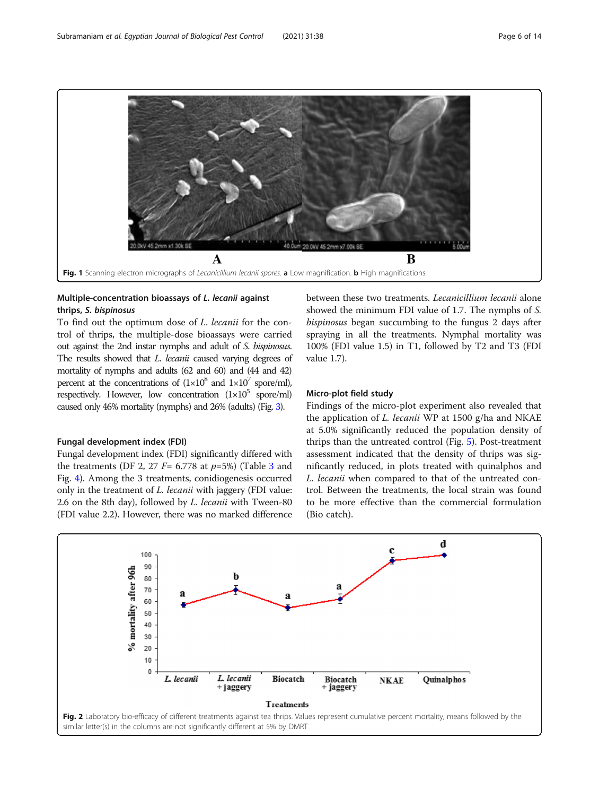<span id="page-5-0"></span>

# Multiple-concentration bioassays of L. lecanii against thrips, S. bispinosus

To find out the optimum dose of L. lecanii for the control of thrips, the multiple-dose bioassays were carried out against the 2nd instar nymphs and adult of S. bispinosus. The results showed that *L. lecanii* caused varying degrees of mortality of nymphs and adults (62 and 60) and (44 and 42) percent at the concentrations of  $(1\times10^8$  and  $1\times10^7$  spore/ml), respectively. However, low concentration  $(1\times10^5 \text{ spore/ml})$ caused only 46% mortality (nymphs) and 26% (adults) (Fig. [3\)](#page-6-0).

#### Fungal development index (FDI)

Fungal development index (FDI) significantly differed with the treatments (DF 2, 27  $F=$  6.778 at  $p=5\%$ ) (Table [3](#page-7-0) and Fig. [4](#page-7-0)). Among the 3 treatments, conidiogenesis occurred only in the treatment of L. lecanii with jaggery (FDI value: 2.6 on the 8th day), followed by L. lecanii with Tween-80 (FDI value 2.2). However, there was no marked difference between these two treatments. Lecanicillium lecanii alone showed the minimum FDI value of 1.7. The nymphs of S. bispinosus began succumbing to the fungus 2 days after spraying in all the treatments. Nymphal mortality was 100% (FDI value 1.5) in T1, followed by T2 and T3 (FDI value 1.7).

### Micro-plot field study

Findings of the micro-plot experiment also revealed that the application of *L. lecanii* WP at 1500 g/ha and NKAE at 5.0% significantly reduced the population density of thrips than the untreated control (Fig. [5](#page-8-0)). Post-treatment assessment indicated that the density of thrips was significantly reduced, in plots treated with quinalphos and L. lecanii when compared to that of the untreated control. Between the treatments, the local strain was found to be more effective than the commercial formulation (Bio catch).

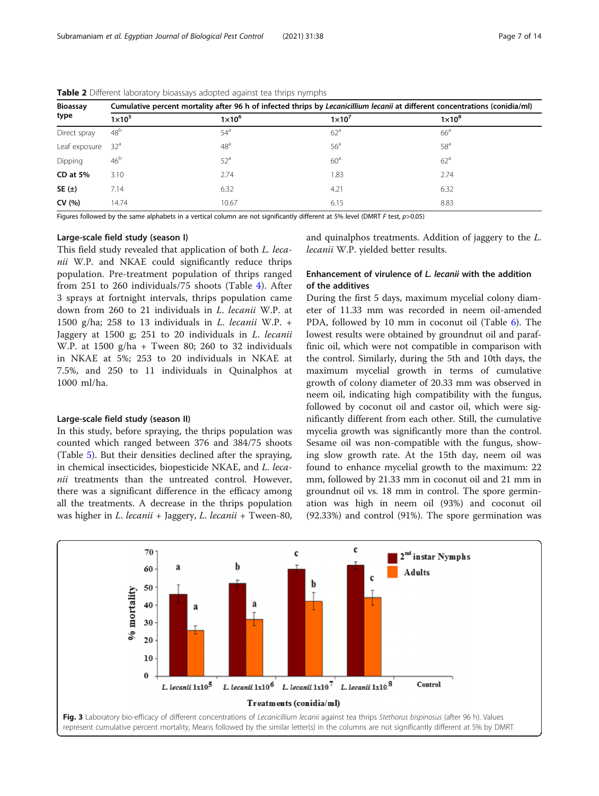| <b>Bioassay</b> | Cumulative percent mortality after 96 h of infected thrips by Lecanicillium lecanii at different concentrations (conidia/ml) |                 |                 |                 |  |  |  |
|-----------------|------------------------------------------------------------------------------------------------------------------------------|-----------------|-----------------|-----------------|--|--|--|
| type            | $1\times10^5$                                                                                                                | $1\times10^6$   | $1\times10^7$   | $1\times10^8$   |  |  |  |
| Direct spray    | 48 <sup>b</sup>                                                                                                              | $54^{\circ}$    | 62 <sup>a</sup> | 66 <sup>a</sup> |  |  |  |
| Leaf exposure   | 32 <sup>a</sup>                                                                                                              | 48 <sup>a</sup> | 56 <sup>a</sup> | 58 <sup>a</sup> |  |  |  |
| Dipping         | 46 <sup>b</sup>                                                                                                              | 52 <sup>a</sup> | 60 <sup>a</sup> | 62 <sup>a</sup> |  |  |  |
| $CD$ at $5%$    | 3.10                                                                                                                         | 2.74            | 1.83            | 2.74            |  |  |  |
| SE $(\pm)$      | 7.14                                                                                                                         | 6.32            | 4.21            | 6.32            |  |  |  |
| CV(% )          | 14.74                                                                                                                        | 10.67           | 6.15            | 8.83            |  |  |  |

<span id="page-6-0"></span>Table 2 Different laboratory bioassays adopted against tea thrips nymphs

Figures followed by the same alphabets in a vertical column are not significantly different at 5% level (DMRT F test,  $p > 0.05$ )

#### Large-scale field study (season I)

This field study revealed that application of both L. lecanii W.P. and NKAE could significantly reduce thrips population. Pre-treatment population of thrips ranged from 251 to 260 individuals/75 shoots (Table [4\)](#page-8-0). After 3 sprays at fortnight intervals, thrips population came down from 260 to 21 individuals in L. lecanii W.P. at 1500 g/ha; 258 to 13 individuals in  $L$ . lecanii W.P. + Jaggery at 1500 g; 251 to 20 individuals in L. lecanii W.P. at  $1500$  g/ha + Tween 80; 260 to 32 individuals in NKAE at 5%; 253 to 20 individuals in NKAE at 7.5%, and 250 to 11 individuals in Quinalphos at 1000 ml/ha.

#### Large-scale field study (season II)

In this study, before spraying, the thrips population was counted which ranged between 376 and 384/75 shoots (Table [5](#page-9-0)). But their densities declined after the spraying, in chemical insecticides, biopesticide NKAE, and L. lecanii treatments than the untreated control. However, there was a significant difference in the efficacy among all the treatments. A decrease in the thrips population was higher in L. lecanii + Jaggery, L. lecanii + Tween-80, and quinalphos treatments. Addition of jaggery to the L. lecanii W.P. yielded better results.

# Enhancement of virulence of L. lecanii with the addition of the additives

During the first 5 days, maximum mycelial colony diameter of 11.33 mm was recorded in neem oil-amended PDA, followed by 10 mm in coconut oil (Table [6](#page-9-0)). The lowest results were obtained by groundnut oil and paraffinic oil, which were not compatible in comparison with the control. Similarly, during the 5th and 10th days, the maximum mycelial growth in terms of cumulative growth of colony diameter of 20.33 mm was observed in neem oil, indicating high compatibility with the fungus, followed by coconut oil and castor oil, which were significantly different from each other. Still, the cumulative mycelia growth was significantly more than the control. Sesame oil was non-compatible with the fungus, showing slow growth rate. At the 15th day, neem oil was found to enhance mycelial growth to the maximum: 22 mm, followed by 21.33 mm in coconut oil and 21 mm in groundnut oil vs. 18 mm in control. The spore germination was high in neem oil (93%) and coconut oil (92.33%) and control (91%). The spore germination was

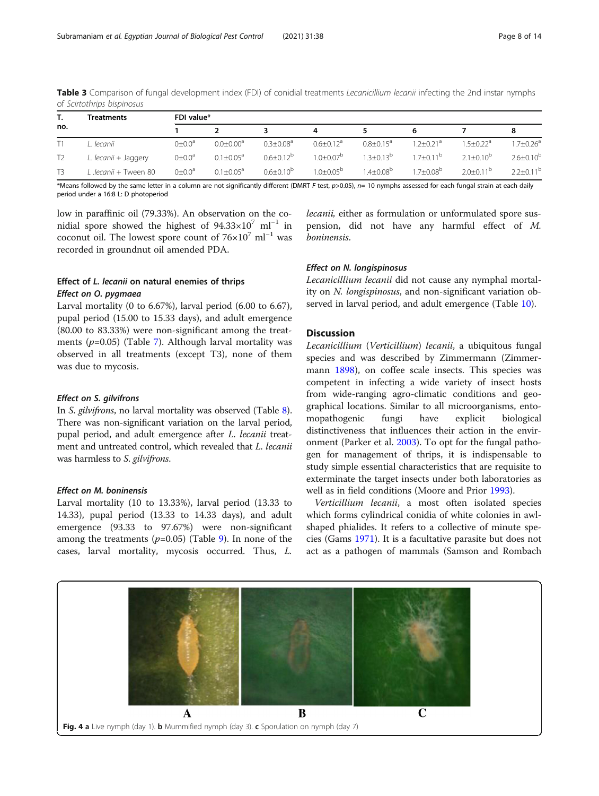|                | Treatments            | FDI value*          |                             |                  |                             |                      |                           |                           |                    |
|----------------|-----------------------|---------------------|-----------------------------|------------------|-----------------------------|----------------------|---------------------------|---------------------------|--------------------|
| no.            |                       |                     |                             |                  |                             |                      |                           |                           |                    |
|                | L. lecanii            | $0 \pm 0.0^a$       | $0.0 \pm 0.00$ <sup>a</sup> | $0.3 + 0.08a$    | $0.6 \pm 0.12$ <sup>a</sup> | $0.8 + 0.15^a$       | $1.2 + 0.21$ <sup>a</sup> | $1.5 + 0.22$ <sup>a</sup> | $1.7 \pm 0.26^a$   |
| T <sub>2</sub> | L. lecanii + Jaggery  | $0 \pm 0.0^{\circ}$ | $0.1 \pm 0.05^a$            | $0.6 \pm 0.12^b$ | $1.0 + 0.07^b$              | $1.3 + 0.13^{b}$     | $17+011b$                 | $2.1 + 0.10^{b}$          | $2.6 \pm 0.10^{b}$ |
|                | L .lecanii + Tween 80 | $0 \pm 0.0^{\circ}$ | $0.1 + 0.05^a$              | $0.6 + 0.10^{b}$ | $1.0 + 0.05^{\circ}$        | $1.4 + 0.08^{\circ}$ | $1.7 + 0.08^{\circ}$      | $2.0 + 0.11^{b}$          | $2.2+0.11^{b}$     |

<span id="page-7-0"></span>Table 3 Comparison of fungal development index (FDI) of conidial treatments Lecanicillium lecanii infecting the 2nd instar nymphs of Scirtothrips bispinosus

\*Means followed by the same letter in a column are not significantly different (DMRT F test, p>0.05), n= 10 nymphs assessed for each fungal strain at each daily period under a 16:8 L: D photoperiod

low in paraffinic oil (79.33%). An observation on the conidial spore showed the highest of 94.33×107 ml−<sup>1</sup> in coconut oil. The lowest spore count of  $76\times10^{7}$  ml<sup>-1</sup> was recorded in groundnut oil amended PDA.

# Effect of L. lecanii on natural enemies of thrips<br>Effect on O. pygmaea

Larval mortality (0 to 6.67%), larval period (6.00 to 6.67), pupal period (15.00 to 15.33 days), and adult emergence (80.00 to 83.33%) were non-significant among the treatments  $(p=0.05)$  (Table [7\)](#page-10-0). Although larval mortality was observed in all treatments (except T3), none of them was due to mycosis.

In S. gilvifrons, no larval mortality was observed (Table [8](#page-10-0)). There was non-significant variation on the larval period, pupal period, and adult emergence after L. lecanii treatment and untreated control, which revealed that L. lecanii was harmless to S. gilvifrons.

Effect on M. boninensis Larval mortality (10 to 13.33%), larval period (13.33 to 14.33), pupal period (13.33 to 14.33 days), and adult emergence (93.33 to 97.67%) were non-significant among the treatments  $(p=0.05)$  (Table [9](#page-11-0)). In none of the cases, larval mortality, mycosis occurred. Thus, L.

lecanii, either as formulation or unformulated spore suspension, did not have any harmful effect of M. boninensis.

**Lecanicillium lecanii did not cause any nymphal mortal**ity on N. longispinosus, and non-significant variation observed in larval period, and adult emergence (Table [10](#page-11-0)).

### **Discussion**

Lecanicillium (Verticillium) lecanii, a ubiquitous fungal species and was described by Zimmermann (Zimmermann [1898\)](#page-13-0), on coffee scale insects. This species was competent in infecting a wide variety of insect hosts from wide-ranging agro-climatic conditions and geographical locations. Similar to all microorganisms, entomopathogenic fungi have explicit biological distinctiveness that influences their action in the environment (Parker et al. [2003](#page-12-0)). To opt for the fungal pathogen for management of thrips, it is indispensable to study simple essential characteristics that are requisite to exterminate the target insects under both laboratories as well as in field conditions (Moore and Prior [1993\)](#page-12-0).

Verticillium lecanii, a most often isolated species which forms cylindrical conidia of white colonies in awlshaped phialides. It refers to a collective of minute species (Gams [1971](#page-12-0)). It is a facultative parasite but does not act as a pathogen of mammals (Samson and Rombach

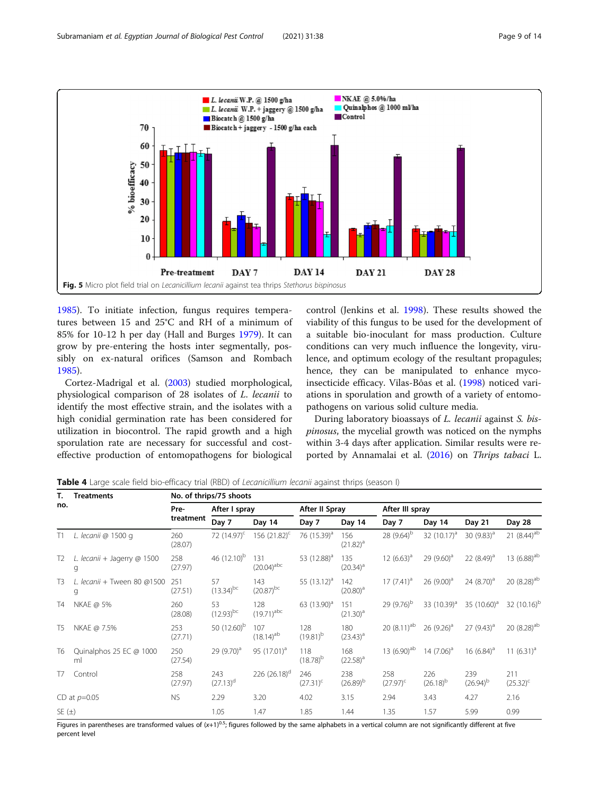<span id="page-8-0"></span>

[1985](#page-13-0)). To initiate infection, fungus requires temperatures between 15 and 25°C and RH of a minimum of 85% for 10-12 h per day (Hall and Burges [1979](#page-12-0)). It can grow by pre-entering the hosts inter segmentally, possibly on ex-natural orifices (Samson and Rombach [1985](#page-13-0)).

Cortez-Madrigal et al. ([2003\)](#page-12-0) studied morphological, physiological comparison of 28 isolates of L. lecanii to identify the most effective strain, and the isolates with a high conidial germination rate has been considered for utilization in biocontrol. The rapid growth and a high sporulation rate are necessary for successful and costeffective production of entomopathogens for biological

control (Jenkins et al. [1998\)](#page-12-0). These results showed the viability of this fungus to be used for the development of a suitable bio-inoculant for mass production. Culture conditions can very much influence the longevity, virulence, and optimum ecology of the resultant propagules; hence, they can be manipulated to enhance mycoinsecticide efficacy. Vilas-Bôas et al. ([1998\)](#page-13-0) noticed variations in sporulation and growth of a variety of entomopathogens on various solid culture media.

During laboratory bioassays of *L. lecanii* against *S. bis*pinosus, the mycelial growth was noticed on the nymphs within 3-4 days after application. Similar results were reported by Annamalai et al. ([2016](#page-12-0)) on Thrips tabaci L.

Table 4 Large scale field bio-efficacy trial (RBD) of Lecanicillium lecanii against thrips (season I)

| Т.             | <b>Treatments</b>                | No. of thrips/75 shoots |                               |                                |                         |                      |                           |                         |                      |                           |
|----------------|----------------------------------|-------------------------|-------------------------------|--------------------------------|-------------------------|----------------------|---------------------------|-------------------------|----------------------|---------------------------|
| no.            |                                  | Pre-                    | After I spray                 |                                | After II Spray          |                      | After III spray           |                         |                      |                           |
|                |                                  | treatment               | Day 7                         | Day 14                         | Day 7                   | Day 14               | Day 7                     | Day 14                  | Day 21               | Day 28                    |
| T1             | L. lecanii @ 1500 g              | 260<br>(28.07)          | 72 $(14.97)^{c}$              | 156 $(21.82)^{c}$              | 76 (15.39) <sup>a</sup> | 156<br>$(21.82)^{a}$ | 28 $(9.64)^{b}$           | 32 $(10.17)^a$          | 30 $(9.83)^{a}$      | 21 $(8.44)$ <sup>ab</sup> |
| T <sub>2</sub> | L. lecanii + Jagerry @ 1500<br>g | 258<br>(27.97)          | 46 $(12.10)^{b}$              | 131<br>$(20.04)^{abc}$         | 53 (12.88) <sup>a</sup> | 135<br>$(20.34)^{a}$ | 12 $(6.63)^a$             | 29 $(9.60)^a$           | 22 $(8.49)^a$        | 13 $(6.88)$ <sup>ab</sup> |
| T3             | L. lecanii + Tween 80 @1500<br>g | 251<br>(27.51)          | 57<br>$(13.34)$ <sup>bc</sup> | 143<br>$(20.87)$ <sup>bc</sup> | 55 $(13.12)^a$          | 142<br>$(20.80)^a$   | $17(7.41)^a$              | 26 $(9.00)^a$           | 24 $(8.70)^a$        | 20 (8.28) <sup>ab</sup>   |
| Τ4             | NKAE @ 5%                        | 260<br>(28.08)          | 53<br>$(12.93)$ <sup>bc</sup> | 128<br>$(19.71)^{abc}$         | 63 (13.90) <sup>a</sup> | 151<br>$(21.30)^{a}$ | 29 $(9.76)^b$             | 33 (10.39) <sup>a</sup> | 35 $(10.60)^a$       | 32 $(10.16)^{b}$          |
| <b>T5</b>      | NKAE @ 7.5%                      | 253<br>(27.71)          | 50 $(12.60)^b$                | 107<br>$(18.14)$ <sup>ab</sup> | 128<br>$(19.81)^{b}$    | 180<br>$(23.43)^{a}$ | 20 $(8.11)$ <sup>ab</sup> | $26(9.26)^a$            | $27(9.43)^a$         | 20 $(8.28)$ <sup>ab</sup> |
| T <sub>6</sub> | Quinalphos 25 EC @ 1000<br>ml    | 250<br>(27.54)          | 29 $(9.70)^a$                 | 95 (17.01) <sup>a</sup>        | 118<br>$(18.78)^{b}$    | 168<br>$(22.58)^{a}$ | 13 $(6.90)^{ab}$          | 14 $(7.06)^a$           | 16 $(6.84)^a$        | 11 $(6.31)^a$             |
| T7             | Control                          | 258<br>(27.97)          | 243<br>$(27.13)^d$            | 226 $(26.18)^d$                | 246<br>$(27.31)^{c}$    | 238<br>$(26.89)^{b}$ | 258<br>$(27.97)^{c}$      | 226<br>$(26.18)^{b}$    | 239<br>$(26.94)^{b}$ | 211<br>$(25.32)^{c}$      |
|                | CD at $p=0.05$                   | <b>NS</b>               | 2.29                          | 3.20                           | 4.02                    | 3.15                 | 2.94                      | 3.43                    | 4.27                 | 2.16                      |
| SE $(\pm)$     |                                  |                         | 1.05                          | 1.47                           | 1.85                    | 1.44                 | 1.35                      | 1.57                    | 5.99                 | 0.99                      |

Figures in parentheses are transformed values of  $(x+1)^{0.5}$ ; figures followed by the same alphabets in a vertical column are not significantly different at five percent level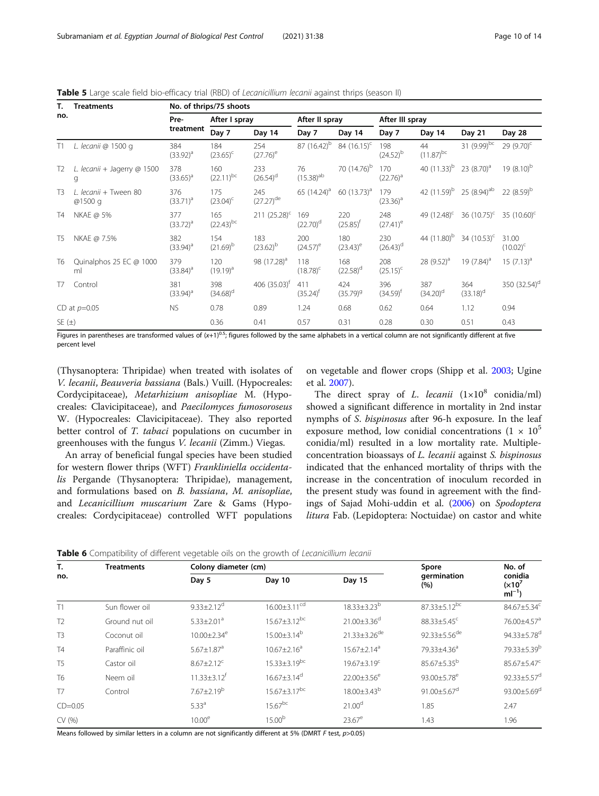| Т.             | <b>Treatments</b>                | No. of thrips/75 shoots |                                |                                |                               |                         |                      |                               |                                 |                          |
|----------------|----------------------------------|-------------------------|--------------------------------|--------------------------------|-------------------------------|-------------------------|----------------------|-------------------------------|---------------------------------|--------------------------|
| no.            |                                  | Pre-                    | After I spray                  |                                | After II spray                |                         | After III spray      |                               |                                 |                          |
|                |                                  | treatment               | Day 7                          | Day 14                         | Day 7                         | Day 14                  | Day 7                | Day 14                        | Day 21                          | Day 28                   |
| T1             | L. lecanii @ 1500 g              | 384<br>$(33.92)^{a}$    | 184<br>$(23.65)^{c}$           | 254<br>$(27.76)^e$             | 87 $(16.42)^{b}$              | 84 $(16.15)^c$          | 198<br>$(24.52)^{b}$ | 44<br>$(11.87)$ <sup>bc</sup> | 31 $(9.99)^{bc}$                | 29 $(9.70)^{c}$          |
| T <sub>2</sub> | L. lecanii + Jagerry @ 1500<br>g | 378<br>$(33.65)^{a}$    | 160<br>$(22.11)^{bc}$          | 233<br>$(26.54)$ <sup>d</sup>  | 76<br>$(15.38)^{ab}$          | 70 (14.76) <sup>b</sup> | 170<br>$(22.76)^{a}$ | 40 $(11.33)^b$                | 23 $(8.70)^a$                   | 19 $(8.10)^b$            |
| T <sub>3</sub> | L. lecanii + Tween 80<br>@1500 g | 376<br>$(33.71)^{a}$    | 175<br>$(23.04)^{c}$           | 245<br>$(27.27)$ <sup>de</sup> | 65 $(14.24)^{a}$              | 60 $(13.73)^a$          | 179<br>$(23.36)^a$   |                               | 42 $(11.59)^b$ 25 $(8.94)^{ab}$ | 22 $(8.59)^b$            |
| T4             | NKAE @ 5%                        | 377<br>$(33.72)^{a}$    | 165<br>$(22.43)$ <sup>bc</sup> | $211 (25.28)^c$                | 169<br>$(22.70)$ <sup>d</sup> | 220<br>$(25.85)^{t}$    | 248<br>$(27.41)^e$   | 49 (12.48) <sup>c</sup>       | 36 $(10.75)^{c}$                | 35 $(10.60)^{c}$         |
| T5             | NKAE @ 7.5%                      | 382<br>$(33.94)^{a}$    | 154<br>$(21.69)^b$             | 183<br>$(23.62)^{b}$           | 200<br>$(24.57)$ <sup>e</sup> | 180<br>$(23.43)^e$      | 230<br>$(26.43)^d$   | 44 (11.80) <sup>b</sup>       | 34 $(10.53)^c$                  | 31.00<br>$(10.02)^{c}$   |
| T6             | Quinalphos 25 EC @ 1000<br>ml    | 379<br>$(33.84)^a$      | 120<br>$(19.19)^{a}$           | 98 (17.28) <sup>a</sup>        | 118<br>$(18.78)^{c}$          | 168<br>$(22.58)^d$      | 208<br>$(25.15)^{c}$ | 28 $(9.52)^a$                 | 19 $(7.84)$ <sup>a</sup>        | $15(7.13)^a$             |
| T7             | Control                          | 381<br>$(33.94)^{a}$    | 398<br>$(34.68)$ <sup>d</sup>  | 406 $(35.03)^{t}$              | 411<br>$(35.24)$ <sup>†</sup> | 424<br>$(35.79)^9$      | 396<br>$(34.59)^{r}$ | 387<br>$(34.20)$ <sup>d</sup> | 364<br>$(33.18)^d$              | 350 (32.54) <sup>d</sup> |
|                | CD at $p=0.05$                   | <b>NS</b>               | 0.78                           | 0.89                           | 1.24                          | 0.68                    | 0.62                 | 0.64                          | 1.12                            | 0.94                     |
| $SE(\pm)$      |                                  |                         | 0.36                           | 0.41                           | 0.57                          | 0.31                    | 0.28                 | 0.30                          | 0.51                            | 0.43                     |

<span id="page-9-0"></span>Table 5 Large scale field bio-efficacy trial (RBD) of Lecanicillium lecanii against thrips (season II)

Figures in parentheses are transformed values of  $(x+1)^{0.5}$ ; figures followed by the same alphabets in a vertical column are not significantly different at five percent level

(Thysanoptera: Thripidae) when treated with isolates of V. lecanii, Beauveria bassiana (Bals.) Vuill. (Hypocreales: Cordycipitaceae), Metarhizium anisopliae M. (Hypocreales: Clavicipitaceae), and Paecilomyces fumosoroseus W. (Hypocreales: Clavicipitaceae). They also reported better control of T. tabaci populations on cucumber in greenhouses with the fungus V. lecanii (Zimm.) Viegas.

An array of beneficial fungal species have been studied for western flower thrips (WFT) Frankliniella occidentalis Pergande (Thysanoptera: Thripidae), management, and formulations based on B. bassiana, M. anisopliae, and Lecanicillium muscarium Zare & Gams (Hypocreales: Cordycipitaceae) controlled WFT populations

on vegetable and flower crops (Shipp et al. [2003](#page-13-0); Ugine et al. [2007\)](#page-13-0).

The direct spray of L. lecanii  $(1 \times 10^8 \text{ conidian/ml})$ showed a significant difference in mortality in 2nd instar nymphs of S. bispinosus after 96-h exposure. In the leaf exposure method, low conidial concentrations  $(1 \times 10^5$ conidia/ml) resulted in a low mortality rate. Multipleconcentration bioassays of L. lecanii against S. bispinosus indicated that the enhanced mortality of thrips with the increase in the concentration of inoculum recorded in the present study was found in agreement with the findings of Sajad Mohi-uddin et al. ([2006](#page-12-0)) on Spodoptera litura Fab. (Lepidoptera: Noctuidae) on castor and white

|  |  |  |  | Table 6 Compatibility of different vegetable oils on the growth of Lecanicillium lecanii |
|--|--|--|--|------------------------------------------------------------------------------------------|
|--|--|--|--|------------------------------------------------------------------------------------------|

| T.             | $\overline{\phantom{a}}$<br><b>Treatments</b> | Colony diameter (cm)          |                                |                                | Spore                         | No. of                              |
|----------------|-----------------------------------------------|-------------------------------|--------------------------------|--------------------------------|-------------------------------|-------------------------------------|
| no.            |                                               | Day 5                         | Day 10                         | Day 15                         | germination<br>(%)            | conidia<br>$(x10^7)$<br>$ml^{-1}$ ) |
| T1             | Sun flower oil                                | $9.33 \pm 2.12$ <sup>d</sup>  | $16.00 \pm 3.11$ <sup>cd</sup> | $18.33 \pm 3.23^b$             | 87.33±5.12bc                  | 84.67±5.34 <sup>c</sup>             |
| T <sub>2</sub> | Ground nut oil                                | $5.33 \pm 2.01$ <sup>a</sup>  | $15.67 \pm 3.12$ <sup>bc</sup> | $21.00 \pm 3.36$ <sup>d</sup>  | $88.33 \pm 5.45$ <sup>c</sup> | 76.00±4.57 <sup>a</sup>             |
| T <sub>3</sub> | Coconut oil                                   | $10.00 \pm 2.34$ <sup>e</sup> | $15.00 \pm 3.14^b$             | $21.33 \pm 3.26$ <sup>de</sup> | 92.33±5.56 <sup>de</sup>      | 94.33±5.78 <sup>d</sup>             |
| <b>T4</b>      | Paraffinic oil                                | $5.67 \pm 1.87$ <sup>a</sup>  | $10.67 \pm 2.16^a$             | $15.67 \pm 2.14^a$             | 79.33±4.36 <sup>a</sup>       | 79.33±5.39 <sup>b</sup>             |
| T <sub>5</sub> | Castor oil                                    | $8.67 \pm 2.12$ <sup>c</sup>  | $15.33 \pm 3.19$ <sup>bc</sup> | $19.67 \pm 3.19$ <sup>c</sup>  | $85.67 \pm 5.35^b$            | $85.67 \pm 5.47$ <sup>c</sup>       |
| T <sub>6</sub> | Neem oil                                      | $11.33 \pm 3.12$ <sup>f</sup> | $16.67 \pm 3.14$ <sup>d</sup>  | $22.00 \pm 3.56^e$             | 93.00±5.78 <sup>e</sup>       | 92.33±5.57 <sup>d</sup>             |
| T <sub>7</sub> | Control                                       | $7.67 \pm 2.19^b$             | $15.67 \pm 3.17$ <sup>bc</sup> | $18.00 \pm 3.43^b$             | 91.00 $\pm$ 5.67 <sup>d</sup> | 93.00±5.69 <sup>d</sup>             |
| $CD=0.05$      |                                               | $5.33^{a}$                    | $15.67^{bc}$                   | 21.00 <sup>d</sup>             | 1.85                          | 2.47                                |
| CV(% )         |                                               | $10.00^{\circ}$               | 15.00 <sup>b</sup>             | $23.67^e$                      | 1.43                          | 1.96                                |

Means followed by similar letters in a column are not significantly different at 5% (DMRT F test,  $p$ >0.05)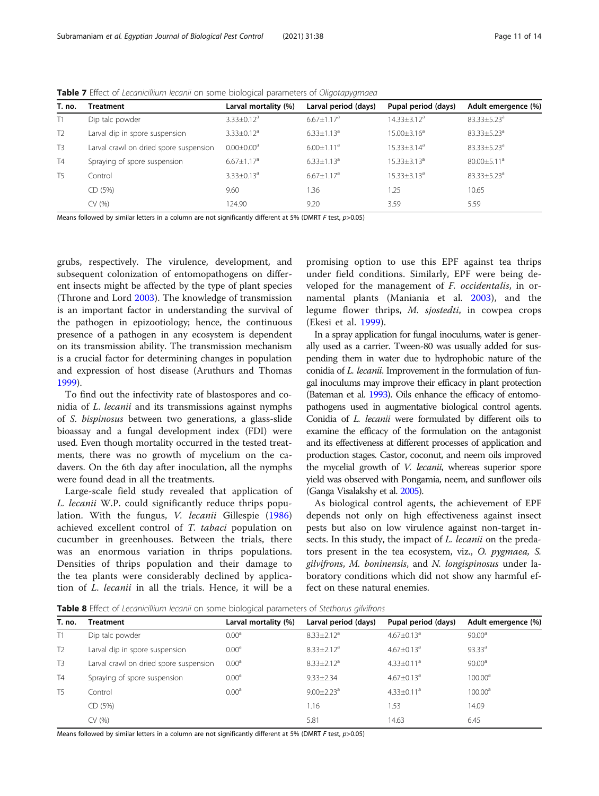<span id="page-10-0"></span>

| Table 7 Effect of Lecanicillium lecanii on some biological parameters of Oligotapygmaea |  |  |
|-----------------------------------------------------------------------------------------|--|--|
|-----------------------------------------------------------------------------------------|--|--|

| T. no.         | <b>Treatment</b>                       | Larval mortality (%)         | Larval period (days)         | Pupal period (days) | Adult emergence (%)           |
|----------------|----------------------------------------|------------------------------|------------------------------|---------------------|-------------------------------|
| T1             | Dip talc powder                        | $3.33 \pm 0.12$ <sup>a</sup> | $6.67 \pm 1.17$ <sup>a</sup> | $14.33 \pm 3.12^a$  | 83.33±5.23 <sup>a</sup>       |
| T <sub>2</sub> | Larval dip in spore suspension         | $3.33 \pm 0.12$ <sup>a</sup> | $6.33 \pm 1.13$ <sup>a</sup> | $15.00 \pm 3.16^a$  | $83.33 \pm 5.23$ <sup>a</sup> |
| T <sub>3</sub> | Larval crawl on dried spore suspension | $0.00 \pm 0.00$ <sup>a</sup> | $6.00 \pm 1.11$ <sup>a</sup> | $15.33 \pm 3.14^a$  | $83.33 \pm 5.23$ <sup>a</sup> |
| T4             | Spraying of spore suspension           | $6.67 \pm 1.17$ <sup>a</sup> | $6.33 \pm 1.13$ <sup>a</sup> | $15.33 \pm 3.13^a$  | $80.00 \pm 5.11$ <sup>a</sup> |
| T <sub>5</sub> | Control                                | $3.33 \pm 0.13$ <sup>a</sup> | $6.67 \pm 1.17$ <sup>a</sup> | $15.33 \pm 3.13^a$  | $83.33 \pm 5.23$ <sup>a</sup> |
|                | CD (5%)                                | 9.60                         | 1.36                         | 1.25                | 10.65                         |
|                | CV (%)                                 | 124.90                       | 9.20                         | 3.59                | 5.59                          |

Means followed by similar letters in a column are not significantly different at 5% (DMRT F test,  $p$ >0.05)

grubs, respectively. The virulence, development, and subsequent colonization of entomopathogens on different insects might be affected by the type of plant species (Throne and Lord [2003\)](#page-13-0). The knowledge of transmission is an important factor in understanding the survival of the pathogen in epizootiology; hence, the continuous presence of a pathogen in any ecosystem is dependent on its transmission ability. The transmission mechanism is a crucial factor for determining changes in population and expression of host disease (Aruthurs and Thomas [1999](#page-12-0)).

To find out the infectivity rate of blastospores and conidia of L. lecanii and its transmissions against nymphs of S. bispinosus between two generations, a glass-slide bioassay and a fungal development index (FDI) were used. Even though mortality occurred in the tested treatments, there was no growth of mycelium on the cadavers. On the 6th day after inoculation, all the nymphs were found dead in all the treatments.

Large-scale field study revealed that application of L. lecanii W.P. could significantly reduce thrips population. With the fungus, V. lecanii Gillespie [\(1986](#page-12-0)) achieved excellent control of T. tabaci population on cucumber in greenhouses. Between the trials, there was an enormous variation in thrips populations. Densities of thrips population and their damage to the tea plants were considerably declined by application of L. lecanii in all the trials. Hence, it will be a

promising option to use this EPF against tea thrips under field conditions. Similarly, EPF were being developed for the management of F. occidentalis, in ornamental plants (Maniania et al. [2003](#page-12-0)), and the legume flower thrips, M. sjostedti, in cowpea crops (Ekesi et al. [1999](#page-12-0)).

In a spray application for fungal inoculums, water is generally used as a carrier. Tween-80 was usually added for suspending them in water due to hydrophobic nature of the conidia of L. lecanii. Improvement in the formulation of fungal inoculums may improve their efficacy in plant protection (Bateman et al. [1993](#page-12-0)). Oils enhance the efficacy of entomopathogens used in augmentative biological control agents. Conidia of L. lecanii were formulated by different oils to examine the efficacy of the formulation on the antagonist and its effectiveness at different processes of application and production stages. Castor, coconut, and neem oils improved the mycelial growth of *V. lecanii*, whereas superior spore yield was observed with Pongamia, neem, and sunflower oils (Ganga Visalakshy et al. [2005\)](#page-12-0).

As biological control agents, the achievement of EPF depends not only on high effectiveness against insect pests but also on low virulence against non-target insects. In this study, the impact of *L. lecanii* on the predators present in the tea ecosystem, viz., O. pygmaea, S. gilvifrons, M. boninensis, and N. longispinosus under laboratory conditions which did not show any harmful effect on these natural enemies.

Table 8 Effect of Lecanicillium lecanii on some biological parameters of Stethorus gilvifrons

| T. no.         | Treatment                              | Larval mortality (%) | Larval period (days)         | Pupal period (days)          | Adult emergence (%) |
|----------------|----------------------------------------|----------------------|------------------------------|------------------------------|---------------------|
| T1             | Dip talc powder                        | 0.00 <sup>a</sup>    | $8.33 \pm 2.12$ <sup>a</sup> | $4.67 \pm 0.13$ <sup>a</sup> | 90.00 <sup>a</sup>  |
| T <sub>2</sub> | Larval dip in spore suspension         | 0.00 <sup>a</sup>    | $8.33 \pm 2.12$ <sup>a</sup> | $4.67 \pm 0.13$ <sup>a</sup> | 93.33 <sup>a</sup>  |
| T <sub>3</sub> | Larval crawl on dried spore suspension | 0.00 <sup>a</sup>    | $8.33 \pm 2.12^a$            | $4.33 \pm 0.11$ <sup>a</sup> | 90.00 <sup>a</sup>  |
| T <sub>4</sub> | Spraying of spore suspension           | 0.00 <sup>a</sup>    | $9.33 \pm 2.34$              | $4.67 \pm 0.13$ <sup>a</sup> | 100.00 <sup>a</sup> |
| T <sub>5</sub> | Control                                | 0.00 <sup>a</sup>    | $9.00 \pm 2.23$ <sup>a</sup> | $4.33 \pm 0.11$ <sup>a</sup> | 100.00 <sup>a</sup> |
|                | CD (5%)                                |                      | 1.16                         | 1.53                         | 14.09               |
|                | CV (%)                                 |                      | 5.81                         | 14.63                        | 6.45                |
|                |                                        |                      |                              |                              |                     |

Means followed by similar letters in a column are not significantly different at 5% (DMRT F test,  $p$ >0.05)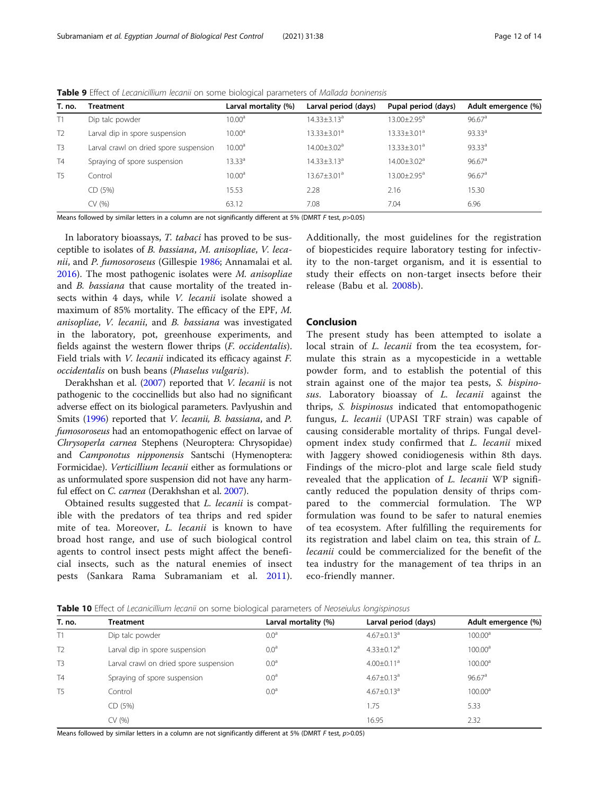| T. no.         | Treatment                              | Larval mortality (%) | Larval period (days)          | Pupal period (days)           | Adult emergence (%)  |
|----------------|----------------------------------------|----------------------|-------------------------------|-------------------------------|----------------------|
| T1             | Dip talc powder                        | 10.00 <sup>a</sup>   | $14.33 \pm 3.13$ <sup>a</sup> | $13.00 \pm 2.95^{\circ}$      | $96.67$ <sup>a</sup> |
| T <sub>2</sub> | Larval dip in spore suspension         | 10.00 <sup>a</sup>   | $13.33 \pm 3.01$ <sup>a</sup> | $13.33 \pm 3.01$ <sup>a</sup> | 93.33 <sup>a</sup>   |
| T <sub>3</sub> | Larval crawl on dried spore suspension | $10.00^{\rm a}$      | $14.00 \pm 3.02$ <sup>a</sup> | $13.33 \pm 3.01$ <sup>a</sup> | 93.33 <sup>a</sup>   |
| <b>T4</b>      | Spraying of spore suspension           | $13.33^{\circ}$      | $14.33 \pm 3.13$ <sup>a</sup> | $14.00 \pm 3.02$ <sup>a</sup> | 96.67 <sup>a</sup>   |
| T <sub>5</sub> | Control                                | 10.00 <sup>a</sup>   | $13.67 + 3.01a$               | $13.00 \pm 2.95^{\circ}$      | 96.67 <sup>a</sup>   |
|                | CD (5%)                                | 15.53                | 2.28                          | 2.16                          | 15.30                |
|                | CV (%)                                 | 63.12                | 7.08                          | 7.04                          | 6.96                 |
|                |                                        |                      |                               |                               |                      |

<span id="page-11-0"></span>Table 9 Effect of Lecanicillium lecanii on some biological parameters of Mallada boninensis

Means followed by similar letters in a column are not significantly different at 5% (DMRT F test,  $p$ >0.05)

In laboratory bioassays, T. tabaci has proved to be susceptible to isolates of B. bassiana, M. anisopliae, V. leca-nii, and P. fumosoroseus (Gillespie [1986;](#page-12-0) Annamalai et al. [2016](#page-12-0)). The most pathogenic isolates were M. anisopliae and B. bassiana that cause mortality of the treated insects within 4 days, while V. lecanii isolate showed a maximum of 85% mortality. The efficacy of the EPF, M. anisopliae, V. lecanii, and B. bassiana was investigated in the laboratory, pot, greenhouse experiments, and fields against the western flower thrips (F. occidentalis). Field trials with V. lecanii indicated its efficacy against F. occidentalis on bush beans (Phaselus vulgaris).

Derakhshan et al. ([2007\)](#page-12-0) reported that V. lecanii is not pathogenic to the coccinellids but also had no significant adverse effect on its biological parameters. Pavlyushin and Smits ([1996\)](#page-12-0) reported that V. lecanii, B. bassiana, and P. fumosoroseus had an entomopathogenic effect on larvae of Chrysoperla carnea Stephens (Neuroptera: Chrysopidae) and Camponotus nipponensis Santschi (Hymenoptera: Formicidae). Verticillium lecanii either as formulations or as unformulated spore suspension did not have any harmful effect on C. carnea (Derakhshan et al. [2007](#page-12-0)).

Obtained results suggested that L. lecanii is compatible with the predators of tea thrips and red spider mite of tea. Moreover, L. lecanii is known to have broad host range, and use of such biological control agents to control insect pests might affect the beneficial insects, such as the natural enemies of insect pests (Sankara Rama Subramaniam et al. [2011](#page-13-0)).

Additionally, the most guidelines for the registration of biopesticides require laboratory testing for infectivity to the non-target organism, and it is essential to study their effects on non-target insects before their release (Babu et al. [2008b](#page-12-0)).

# Conclusion

The present study has been attempted to isolate a local strain of *L. lecanii* from the tea ecosystem, formulate this strain as a mycopesticide in a wettable powder form, and to establish the potential of this strain against one of the major tea pests, S. bispinosus. Laboratory bioassay of L. lecanii against the thrips, S. bispinosus indicated that entomopathogenic fungus, L. lecanii (UPASI TRF strain) was capable of causing considerable mortality of thrips. Fungal development index study confirmed that L. lecanii mixed with Jaggery showed conidiogenesis within 8th days. Findings of the micro-plot and large scale field study revealed that the application of L. lecanii WP significantly reduced the population density of thrips compared to the commercial formulation. The WP formulation was found to be safer to natural enemies of tea ecosystem. After fulfilling the requirements for its registration and label claim on tea, this strain of L. lecanii could be commercialized for the benefit of the tea industry for the management of tea thrips in an eco-friendly manner.

|  | Table 10 Effect of Lecanicillium lecanii on some biological parameters of Neoseiulus longispinosus |  |  |  |  |
|--|----------------------------------------------------------------------------------------------------|--|--|--|--|
|  |                                                                                                    |  |  |  |  |

| T. no.         | <b>Treatment</b>                       | Larval mortality (%) | Larval period (days)         | Adult emergence (%) |
|----------------|----------------------------------------|----------------------|------------------------------|---------------------|
| T1             | Dip talc powder                        | 0.0 <sup>a</sup>     | $4.67 \pm 0.13$ <sup>a</sup> | 100.00 <sup>a</sup> |
| T <sub>2</sub> | Larval dip in spore suspension         | 0.0 <sup>a</sup>     | $4.33 \pm 0.12$ <sup>a</sup> | 100.00 <sup>a</sup> |
| T <sub>3</sub> | Larval crawl on dried spore suspension | 0.0 <sup>a</sup>     | $4.00 \pm 0.11$ <sup>a</sup> | 100.00 <sup>a</sup> |
| T <sub>4</sub> | Spraying of spore suspension           | 0.0 <sup>a</sup>     | $4.67 \pm 0.13$ <sup>a</sup> | 96.67 <sup>a</sup>  |
| T <sub>5</sub> | Control                                | 0.0 <sup>a</sup>     | $4.67 \pm 0.13$ <sup>a</sup> | 100.00 <sup>a</sup> |
|                | CD (5%)                                |                      | 1.75                         | 5.33                |
|                | CV (%)                                 |                      | 16.95                        | 2.32                |
|                |                                        |                      |                              |                     |

Means followed by similar letters in a column are not significantly different at 5% (DMRT F test,  $p$ >0.05)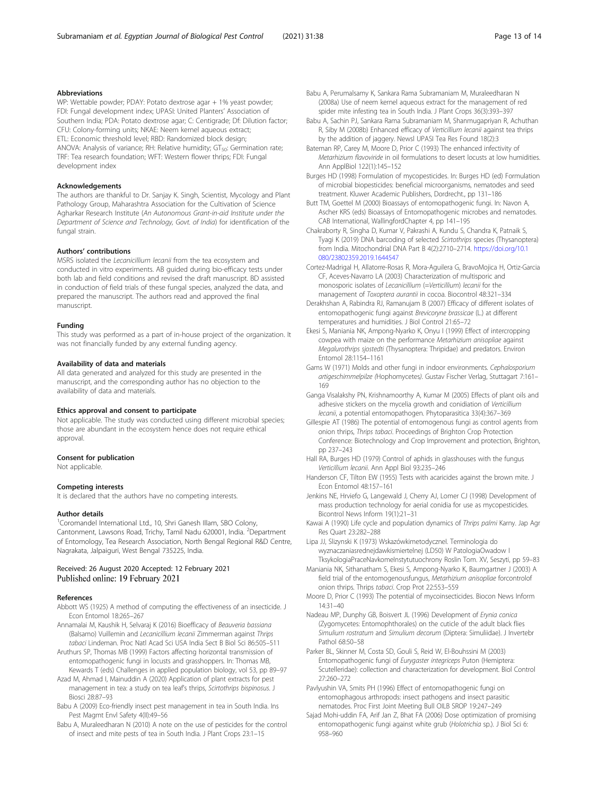### <span id="page-12-0"></span>Abbreviations

WP: Wettable powder; PDAY: Potato dextrose agar + 1% yeast powder; FDI: Fungal development index; UPASI: United Planters' Association of Southern India; PDA: Potato dextrose agar; C: Centigrade; Df: Dilution factor; CFU: Colony-forming units; NKAE: Neem kernel aqueous extract; ETL: Economic threshold level; RBD: Randomized block design; ANOVA: Analysis of variance; RH: Relative humidity;  $GT_{50}$ : Germination rate; TRF: Tea research foundation; WFT: Western flower thrips; FDI: Fungal development index

#### Acknowledgements

The authors are thankful to Dr. Sanjay K. Singh, Scientist, Mycology and Plant Pathology Group, Maharashtra Association for the Cultivation of Science Agharkar Research Institute (An Autonomous Grant-in-aid Institute under the Department of Science and Technology, Govt. of India) for identification of the fungal strain.

#### Authors' contributions

MSRS isolated the Lecanicillium lecanii from the tea ecosystem and conducted in vitro experiments. AB guided during bio-efficacy tests under both lab and field conditions and revised the draft manuscript. BD assisted in conduction of field trials of these fungal species, analyzed the data, and prepared the manuscript. The authors read and approved the final manuscript.

#### Funding

This study was performed as a part of in-house project of the organization. It was not financially funded by any external funding agency.

#### Availability of data and materials

All data generated and analyzed for this study are presented in the manuscript, and the corresponding author has no objection to the availability of data and materials.

#### Ethics approval and consent to participate

Not applicable. The study was conducted using different microbial species; those are abundant in the ecosystem hence does not require ethical approval.

#### Consent for publication

Not applicable.

#### Competing interests

It is declared that the authors have no competing interests.

### Author details

<sup>1</sup>Coromandel International Ltd., 10, Shri Ganesh Illam, SBO Colony, Cantonment, Lawsons Road, Trichy, Tamil Nadu 620001, India. <sup>2</sup>Department of Entomology, Tea Research Association, North Bengal Regional R&D Centre, Nagrakata, Jalpaiguri, West Bengal 735225, India.

#### Received: 26 August 2020 Accepted: 12 February 2021 Published online: 19 February 2021

#### References

- Abbott WS (1925) A method of computing the effectiveness of an insecticide. J Econ Entomol 18:265–267
- Annamalai M, Kaushik H, Selvaraj K (2016) Bioefficacy of Beauveria bassiana (Balsamo) Vuillemin and Lecanicillium lecanii Zimmerman against Thrips tabaci Lindeman. Proc Natl Acad Sci USA India Sect B Biol Sci 86:505–511
- Aruthurs SP, Thomas MB (1999) Factors affecting horizontal transmission of entomopathogenic fungi in locusts and grasshoppers. In: Thomas MB, Kewards T (eds) Challenges in applied population biology, vol 53, pp 89–97
- Azad M, Ahmad I, Mainuddin A (2020) Application of plant extracts for pest management in tea: a study on tea leaf's thrips, Scirtothrips bispinosus. J Biosci 28:87–93
- Babu A (2009) Eco-friendly insect pest management in tea in South India. Ins Pest Magmt Envl Safety 4(II):49–56
- Babu A, Muraleedharan N (2010) A note on the use of pesticides for the control of insect and mite pests of tea in South India. J Plant Crops 23:1–15
- Babu A, Perumalsamy K, Sankara Rama Subramaniam M, Muraleedharan N (2008a) Use of neem kernel aqueous extract for the management of red spider mite infesting tea in South India. J Plant Crops 36(3):393–397
- Babu A, Sachin PJ, Sankara Rama Subramaniam M, Shanmugapriyan R, Achuthan R, Siby M (2008b) Enhanced efficacy of Verticillium lecanii against tea thrips by the addition of jaggery. Newsl UPASI Tea Res Found 18(2):3
- Bateman RP, Carey M, Moore D, Prior C (1993) The enhanced infectivity of Metarhizium flavoviride in oil formulations to desert locusts at low humidities. Ann ApplBiol 122(1):145–152
- Burges HD (1998) Formulation of mycopesticides. In: Burges HD (ed) Formulation of microbial biopesticides: beneficial microorganisms, nematodes and seed treatment. Kluwer Academic Publishers, Dordrecht., pp 131–186
- Butt TM, Goettel M (2000) Bioassays of entomopathogenic fungi. In: Navon A, Ascher KRS (eds) Bioassays of Entomopathogenic microbes and nematodes. CAB International, WallingfordChapter 4, pp 141–195
- Chakraborty R, Singha D, Kumar V, Pakrashi A, Kundu S, Chandra K, Patnaik S, Tyagi K (2019) DNA barcoding of selected Scirtothrips species (Thysanoptera) from India. Mitochondrial DNA Part B 4(2):2710–2714. [https://doi.org/10.1](https://doi.org/10.1080/23802359.2019.1644547) [080/23802359.2019.1644547](https://doi.org/10.1080/23802359.2019.1644547)
- Cortez-Madrigal H, Allatorre-Rosas R, Mora-Aguilera G, BravoMojica H, Ortiz-Garcia CF, Aceves-Navarro LA (2003) Characterization of multisporic and monosporic isolates of Lecanicillium (=Verticillium) lecanii for the management of Toxoptera aurantii in cocoa. Biocontrol 48:321–334
- Derakhshan A, Rabindra RJ, Ramanujam B (2007) Efficacy of different isolates of entomopathogenic fungi against Brevicoryne brassicae (L.) at different temperatures and humidities. J Biol Control 21:65–72
- Ekesi S, Maniania NK, Ampong-Nyarko K, Onyu I (1999) Effect of intercropping cowpea with maize on the performance Metarhizium anisopliae against Megalurothrips sjostedti (Thysanoptera: Thripidae) and predators. Environ Entomol 28:1154–1161
- Gams W (1971) Molds and other fungi in indoor environments. Cephalosporium artigeschimmelpilze (Hophomycetes). Gustav Fischer Verlag, Stuttagart 7:161– 169
- Ganga Visalakshy PN, Krishnamoorthy A, Kumar M (2005) Effects of plant oils and adhesive stickers on the mycelia growth and conidiation of Verticillium lecanii, a potential entomopathogen. Phytoparasitica 33(4):367–369
- Gillespie AT (1986) The potential of entomogenous fungi as control agents from onion thrips, Thrips tabaci. Proceedings of Brighton Crop Protection Conference: Biotechnology and Crop Improvement and protection, Brighton, pp 237–243
- Hall RA, Burges HD (1979) Control of aphids in glasshouses with the fungus Verticillium lecanii. Ann Appl Biol 93:235–246
- Handerson CF, Tilton EW (1955) Tests with acaricides against the brown mite. J Econ Entomol 48:157–161
- Jenkins NE, Hrviefo G, Langewald J, Cherry AJ, Lomer CJ (1998) Development of mass production technology for aerial conidia for use as mycopesticides. Bicontrol News Inform 19(1):21–31
- Kawai A (1990) Life cycle and population dynamics of Thrips palmi Karny. Jap Agr Res Quart 23:282–288
- Lipa JJ, Slizynski K (1973) WskazówkimetodyczneI. Terminologia do wyznaczaniasrednejdawkismiertelnej (LD50) W PatologiaOwadow I TksykologiaPraceNavkomeInstytutuochrony Roslin Tom. XV, Seszyti, pp 59-83
- Maniania NK, Sithanatham S, Ekesi S, Ampong-Nyarko K, Baumgartner J (2003) A field trial of the entomogenousfungus, Metarhizium anisopliae forcontrolof onion thrips. Thrips tabaci. Crop Prot 22:553–559
- Moore D, Prior C (1993) The potential of mycoinsecticides. Biocon News Inform 14:31–40
- Nadeau MP, Dunphy GB, Boisvert JL (1996) Development of Erynia conica (Zygomycetes: Entomophthorales) on the cuticle of the adult black flies Simulium rostratum and Simulium decorum (Diptera: Simuliidae). J Invertebr Pathol 68:50–58
- Parker BL, Skinner M, Costa SD, Gouli S, Reid W, El-Bouhssini M (2003) Entomopathogenic fungi of Eurygaster integriceps Puton (Hemiptera: Scutelleridae): collection and characterization for development. Biol Control 27:260–272
- Pavlyushin VA, Smits PH (1996) Effect of entomopathogenic fungi on entomophagous arthropods: insect pathogens and insect parasitic nematodes. Proc First Joint Meeting Bull OILB SROP 19:247–249
- Sajad Mohi-uddin FA, Arif Jan Z, Bhat FA (2006) Dose optimization of promising entomopathogenic fungi against white grub (Holotrichia sp.). J Biol Sci 6: 958–960